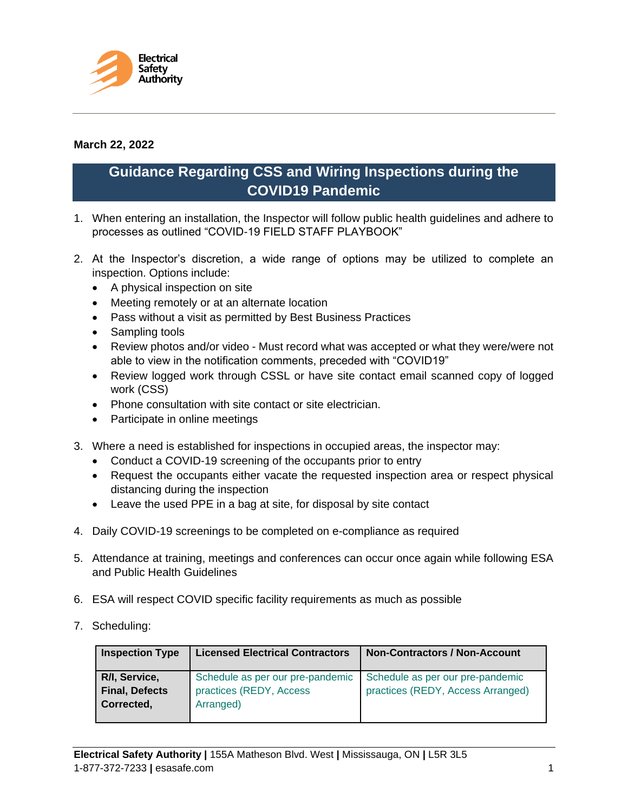

## **March 22, 2022**

## **Guidance Regarding CSS and Wiring Inspections during the COVID19 Pandemic**

- 1. When entering an installation, the Inspector will follow public health guidelines and adhere to processes as outlined "COVID-19 FIELD STAFF PLAYBOOK"
- 2. At the Inspector's discretion, a wide range of options may be utilized to complete an inspection. Options include:
	- A physical inspection on site
	- Meeting remotely or at an alternate location
	- Pass without a visit as permitted by Best Business Practices
	- Sampling tools
	- Review photos and/or video Must record what was accepted or what they were/were not able to view in the notification comments, preceded with "COVID19"
	- Review logged work through CSSL or have site contact email scanned copy of logged work (CSS)
	- Phone consultation with site contact or site electrician.
	- Participate in online meetings
- 3. Where a need is established for inspections in occupied areas, the inspector may:
	- Conduct a COVID-19 screening of the occupants prior to entry
	- Request the occupants either vacate the requested inspection area or respect physical distancing during the inspection
	- Leave the used PPE in a bag at site, for disposal by site contact
- 4. Daily COVID-19 screenings to be completed on e-compliance as required
- 5. Attendance at training, meetings and conferences can occur once again while following ESA and Public Health Guidelines
- 6. ESA will respect COVID specific facility requirements as much as possible
- 7. Scheduling:

| <b>Inspection Type</b>                               | <b>Licensed Electrical Contractors</b>                                   | <b>Non-Contractors / Non-Account</b>                                  |
|------------------------------------------------------|--------------------------------------------------------------------------|-----------------------------------------------------------------------|
| R/I, Service,<br><b>Final, Defects</b><br>Corrected, | Schedule as per our pre-pandemic<br>practices (REDY, Access<br>Arranged) | Schedule as per our pre-pandemic<br>practices (REDY, Access Arranged) |